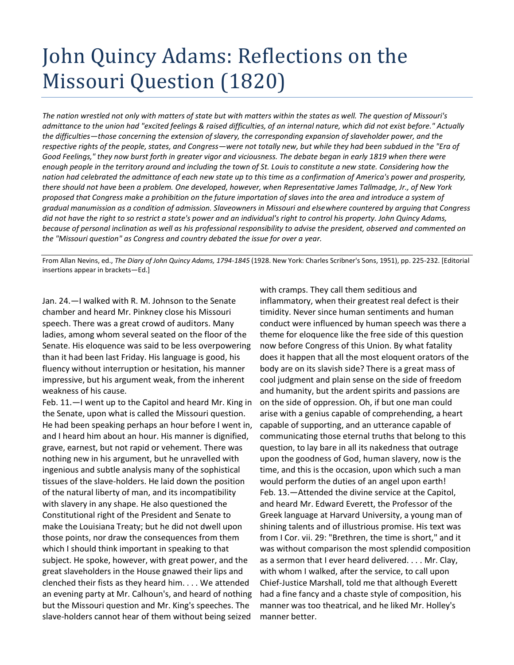## John Quincy Adams: Reflections on the Missouri Question (1820)

*The nation wrestled not only with matters of state but with matters within the states as well. The question of Missouri's admittance to the union had "excited feelings & raised difficulties, of an internal nature, which did not exist before." Actually the difficulties—those concerning the extension of slavery, the corresponding expansion of slaveholder power, and the respective rights of the people, states, and Congress—were not totally new, but while they had been subdued in the "Era of Good Feelings," they now burst forth in greater vigor and viciousness. The debate began in early 1819 when there were enough people in the territory around and including the town of St. Louis to constitute a new state. Considering how the nation had celebrated the admittance of each new state up to this time as a confirmation of America's power and prosperity, there should not have been a problem. One developed, however, when Representative James Tallmadge, Jr., of New York proposed that Congress make a prohibition on the future importation of slaves into the area and introduce a system of gradual manumission as a condition of admission. Slaveowners in Missouri and elsewhere countered by arguing that Congress did not have the right to so restrict a state's power and an individual's right to control his property. John Quincy Adams, because of personal inclination as well as his professional responsibility to advise the president, observed and commented on the "Missouri question" as Congress and country debated the issue for over a year.*

From Allan Nevins, ed., *The Diary of John Quincy Adams, 1794-1845* (1928. New York: Charles Scribner's Sons, 1951), pp. 225-232. [Editorial insertions appear in brackets—Ed.]

Jan. 24.—I walked with R. M. Johnson to the Senate chamber and heard Mr. Pinkney close his Missouri speech. There was a great crowd of auditors. Many ladies, among whom several seated on the floor of the Senate. His eloquence was said to be less overpowering than it had been last Friday. His language is good, his fluency without interruption or hesitation, his manner impressive, but his argument weak, from the inherent weakness of his cause.

Feb. 11.—I went up to the Capitol and heard Mr. King in the Senate, upon what is called the Missouri question. He had been speaking perhaps an hour before I went in, and I heard him about an hour. His manner is dignified, grave, earnest, but not rapid or vehement. There was nothing new in his argument, but he unravelled with ingenious and subtle analysis many of the sophistical tissues of the slave-holders. He laid down the position of the natural liberty of man, and its incompatibility with slavery in any shape. He also questioned the Constitutional right of the President and Senate to make the Louisiana Treaty; but he did not dwell upon those points, nor draw the consequences from them which I should think important in speaking to that subject. He spoke, however, with great power, and the great slaveholders in the House gnawed their lips and clenched their fists as they heard him. . . . We attended an evening party at Mr. Calhoun's, and heard of nothing but the Missouri question and Mr. King's speeches. The slave-holders cannot hear of them without being seized

with cramps. They call them seditious and inflammatory, when their greatest real defect is their timidity. Never since human sentiments and human conduct were influenced by human speech was there a theme for eloquence like the free side of this question now before Congress of this Union. By what fatality does it happen that all the most eloquent orators of the body are on its slavish side? There is a great mass of cool judgment and plain sense on the side of freedom and humanity, but the ardent spirits and passions are on the side of oppression. Oh, if but one man could arise with a genius capable of comprehending, a heart capable of supporting, and an utterance capable of communicating those eternal truths that belong to this question, to lay bare in all its nakedness that outrage upon the goodness of God, human slavery, now is the time, and this is the occasion, upon which such a man would perform the duties of an angel upon earth! Feb. 13.—Attended the divine service at the Capitol, and heard Mr. Edward Everett, the Professor of the Greek language at Harvard University, a young man of shining talents and of illustrious promise. His text was from I Cor. vii. 29: "Brethren, the time is short," and it was without comparison the most splendid composition as a sermon that I ever heard delivered. . . . Mr. Clay, with whom I walked, after the service, to call upon Chief-Justice Marshall, told me that although Everett had a fine fancy and a chaste style of composition, his manner was too theatrical, and he liked Mr. Holley's manner better.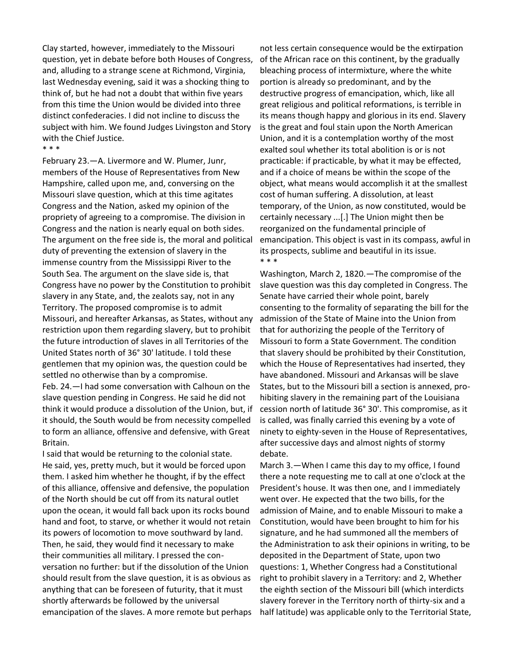Clay started, however, immediately to the Missouri question, yet in debate before both Houses of Congress, and, alluding to a strange scene at Richmond, Virginia, last Wednesday evening, said it was a shocking thing to think of, but he had not a doubt that within five years from this time the Union would be divided into three distinct confederacies. I did not incline to discuss the subject with him. We found Judges Livingston and Story with the Chief Justice. \* \* \*

February 23.—A. Livermore and W. Plumer, Junr, members of the House of Representatives from New Hampshire, called upon me, and, conversing on the Missouri slave question, which at this time agitates Congress and the Nation, asked my opinion of the propriety of agreeing to a compromise. The division in Congress and the nation is nearly equal on both sides. The argument on the free side is, the moral and political duty of preventing the extension of slavery in the immense country from the Mississippi River to the South Sea. The argument on the slave side is, that Congress have no power by the Constitution to prohibit slavery in any State, and, the zealots say, not in any Territory. The proposed compromise is to admit Missouri, and hereafter Arkansas, as States, without any restriction upon them regarding slavery, but to prohibit the future introduction of slaves in all Territories of the United States north of 36° 30' latitude. I told these gentlemen that my opinion was, the question could be settled no otherwise than by a compromise. Feb. 24.—I had some conversation with Calhoun on the slave question pending in Congress. He said he did not think it would produce a dissolution of the Union, but, if it should, the South would be from necessity compelled to form an alliance, offensive and defensive, with Great Britain.

I said that would be returning to the colonial state. He said, yes, pretty much, but it would be forced upon them. I asked him whether he thought, if by the effect of this alliance, offensive and defensive, the population of the North should be cut off from its natural outlet upon the ocean, it would fall back upon its rocks bound hand and foot, to starve, or whether it would not retain its powers of locomotion to move southward by land. Then, he said, they would find it necessary to make their communities all military. I pressed the conversation no further: but if the dissolution of the Union should result from the slave question, it is as obvious as anything that can be foreseen of futurity, that it must shortly afterwards be followed by the universal emancipation of the slaves. A more remote but perhaps

not less certain consequence would be the extirpation of the African race on this continent, by the gradually bleaching process of intermixture, where the white portion is already so predominant, and by the destructive progress of emancipation, which, like all great religious and political reformations, is terrible in its means though happy and glorious in its end. Slavery is the great and foul stain upon the North American Union, and it is a contemplation worthy of the most exalted soul whether its total abolition is or is not practicable: if practicable, by what it may be effected, and if a choice of means be within the scope of the object, what means would accomplish it at the smallest cost of human suffering. A dissolution, at least temporary, of the Union, as now constituted, would be certainly necessary ...[.] The Union might then be reorganized on the fundamental principle of emancipation. This object is vast in its compass, awful in its prospects, sublime and beautiful in its issue. \* \* \*

Washington, March 2, 1820.—The compromise of the slave question was this day completed in Congress. The Senate have carried their whole point, barely consenting to the formality of separating the bill for the admission of the State of Maine into the Union from that for authorizing the people of the Territory of Missouri to form a State Government. The condition that slavery should be prohibited by their Constitution, which the House of Representatives had inserted, they have abandoned. Missouri and Arkansas will be slave States, but to the Missouri bill a section is annexed, prohibiting slavery in the remaining part of the Louisiana cession north of latitude 36° 30'. This compromise, as it is called, was finally carried this evening by a vote of ninety to eighty-seven in the House of Representatives, after successive days and almost nights of stormy debate.

March 3.—When I came this day to my office, I found there a note requesting me to call at one o'clock at the President's house. It was then one, and I immediately went over. He expected that the two bills, for the admission of Maine, and to enable Missouri to make a Constitution, would have been brought to him for his signature, and he had summoned all the members of the Administration to ask their opinions in writing, to be deposited in the Department of State, upon two questions: 1, Whether Congress had a Constitutional right to prohibit slavery in a Territory: and 2, Whether the eighth section of the Missouri bill (which interdicts slavery forever in the Territory north of thirty-six and a half latitude) was applicable only to the Territorial State,